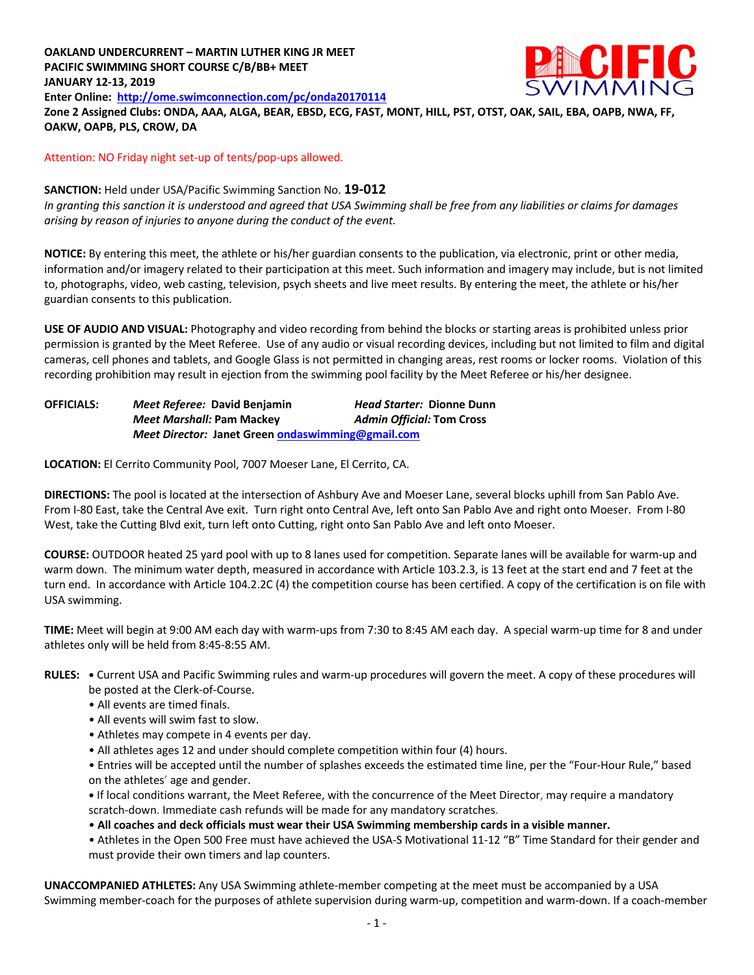# **OAKLAND UNDERCURRENT – MARTIN LUTHER KING JR MEET PACIFIC SWIMMING SHORT COURSE C/B/BB+ MEET JANUARY 12-13, 2019 Enter Online: http://ome.swimconnection.com/pc/onda20170114**



**Zone 2 Assigned Clubs: ONDA, AAA, ALGA, BEAR, EBSD, ECG, FAST, MONT, HILL, PST, OTST, OAK, SAIL, EBA, OAPB, NWA, FF, OAKW, OAPB, PLS, CROW, DA**

Attention: NO Friday night set-up of tents/pop-ups allowed.

# **SANCTION:** Held under USA/Pacific Swimming Sanction No. **19-012**

*In granting this sanction it is understood and agreed that USA Swimming shall be free from any liabilities or claims for damages arising by reason of injuries to anyone during the conduct of the event.*

**NOTICE:** By entering this meet, the athlete or his/her guardian consents to the publication, via electronic, print or other media, information and/or imagery related to their participation at this meet. Such information and imagery may include, but is not limited to, photographs, video, web casting, television, psych sheets and live meet results. By entering the meet, the athlete or his/her guardian consents to this publication.

**USE OF AUDIO AND VISUAL:** Photography and video recording from behind the blocks or starting areas is prohibited unless prior permission is granted by the Meet Referee. Use of any audio or visual recording devices, including but not limited to film and digital cameras, cell phones and tablets, and Google Glass is not permitted in changing areas, rest rooms or locker rooms. Violation of this recording prohibition may result in ejection from the swimming pool facility by the Meet Referee or his/her designee.

**OFFICIALS:** *Meet Referee:* **David Benjamin** *Head Starter:* **Dionne Dunn** *Meet Marshall:* **Pam Mackey** *Admin Official:* **Tom Cross** *Meet Director:* **Janet Green ondaswimming@gmail.com**

**LOCATION:** El Cerrito Community Pool, 7007 Moeser Lane, El Cerrito, CA.

**DIRECTIONS:** The pool is located at the intersection of Ashbury Ave and Moeser Lane, several blocks uphill from San Pablo Ave. From I-80 East, take the Central Ave exit. Turn right onto Central Ave, left onto San Pablo Ave and right onto Moeser. From I-80 West, take the Cutting Blvd exit, turn left onto Cutting, right onto San Pablo Ave and left onto Moeser.

**COURSE:** OUTDOOR heated 25 yard pool with up to 8 lanes used for competition. Separate lanes will be available for warm-up and warm down. The minimum water depth, measured in accordance with Article 103.2.3, is 13 feet at the start end and 7 feet at the turn end. In accordance with Article 104.2.2C (4) the competition course has been certified. A copy of the certification is on file with USA swimming.

**TIME:** Meet will begin at 9:00 AM each day with warm-ups from 7:30 to 8:45 AM each day. A special warm-up time for 8 and under athletes only will be held from 8:45-8:55 AM.

#### **RULES: •** Current USA and Pacific Swimming rules and warm-up procedures will govern the meet. A copy of these procedures will be posted at the Clerk-of-Course.

- All events are timed finals.
- All events will swim fast to slow.
- Athletes may compete in 4 events per day.
- All athletes ages 12 and under should complete competition within four (4) hours.

• Entries will be accepted until the number of splashes exceeds the estimated time line, per the "Four-Hour Rule," based on the athletes' age and gender.

**•** If local conditions warrant, the Meet Referee, with the concurrence of the Meet Director, may require a mandatory scratch-down. Immediate cash refunds will be made for any mandatory scratches.

• **All coaches and deck officials must wear their USA Swimming membership cards in a visible manner.**

• Athletes in the Open 500 Free must have achieved the USA-S Motivational 11-12 "B" Time Standard for their gender and must provide their own timers and lap counters.

**UNACCOMPANIED ATHLETES:** Any USA Swimming athlete-member competing at the meet must be accompanied by a USA Swimming member-coach for the purposes of athlete supervision during warm-up, competition and warm-down. If a coach-member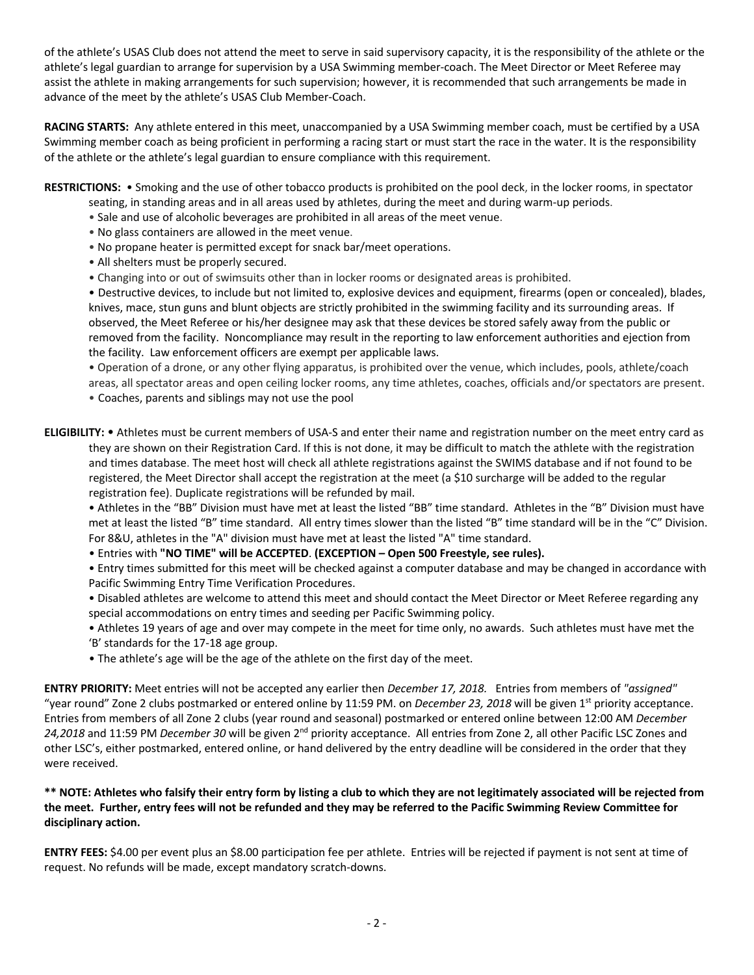of the athlete's USAS Club does not attend the meet to serve in said supervisory capacity, it is the responsibility of the athlete or the athlete's legal guardian to arrange for supervision by a USA Swimming member-coach. The Meet Director or Meet Referee may assist the athlete in making arrangements for such supervision; however, it is recommended that such arrangements be made in advance of the meet by the athlete's USAS Club Member-Coach.

**RACING STARTS:** Any athlete entered in this meet, unaccompanied by a USA Swimming member coach, must be certified by a USA Swimming member coach as being proficient in performing a racing start or must start the race in the water. It is the responsibility of the athlete or the athlete's legal guardian to ensure compliance with this requirement.

**RESTRICTIONS:** • Smoking and the use of other tobacco products is prohibited on the pool deck, in the locker rooms, in spectator

- seating, in standing areas and in all areas used by athletes, during the meet and during warm-up periods.
- Sale and use of alcoholic beverages are prohibited in all areas of the meet venue.
- No glass containers are allowed in the meet venue.
- No propane heater is permitted except for snack bar/meet operations.
- All shelters must be properly secured.
- Changing into or out of swimsuits other than in locker rooms or designated areas is prohibited.

• Destructive devices, to include but not limited to, explosive devices and equipment, firearms (open or concealed), blades, knives, mace, stun guns and blunt objects are strictly prohibited in the swimming facility and its surrounding areas. If observed, the Meet Referee or his/her designee may ask that these devices be stored safely away from the public or removed from the facility. Noncompliance may result in the reporting to law enforcement authorities and ejection from the facility. Law enforcement officers are exempt per applicable laws.

• Operation of a drone, or any other flying apparatus, is prohibited over the venue, which includes, pools, athlete/coach areas, all spectator areas and open ceiling locker rooms, any time athletes, coaches, officials and/or spectators are present.

- Coaches, parents and siblings may not use the pool
- **ELIGIBILITY:** Athletes must be current members of USA-S and enter their name and registration number on the meet entry card as they are shown on their Registration Card. If this is not done, it may be difficult to match the athlete with the registration and times database. The meet host will check all athlete registrations against the SWIMS database and if not found to be registered, the Meet Director shall accept the registration at the meet (a \$10 surcharge will be added to the regular registration fee). Duplicate registrations will be refunded by mail.

• Athletes in the "BB" Division must have met at least the listed "BB" time standard. Athletes in the "B" Division must have met at least the listed "B" time standard. All entry times slower than the listed "B" time standard will be in the "C" Division. For 8&U, athletes in the "A" division must have met at least the listed "A" time standard.

• Entries with **"NO TIME" will be ACCEPTED**. **(EXCEPTION – Open 500 Freestyle, see rules).**

• Entry times submitted for this meet will be checked against a computer database and may be changed in accordance with Pacific Swimming Entry Time Verification Procedures.

• Disabled athletes are welcome to attend this meet and should contact the Meet Director or Meet Referee regarding any special accommodations on entry times and seeding per Pacific Swimming policy.

• Athletes 19 years of age and over may compete in the meet for time only, no awards. Such athletes must have met the 'B' standards for the 17-18 age group.

• The athlete's age will be the age of the athlete on the first day of the meet.

**ENTRY PRIORITY:** Meet entries will not be accepted any earlier then *December 17, 2018.* Entries from members of *"assigned"*  "year round" Zone 2 clubs postmarked or entered online by 11:59 PM. on *December 23, 2018* will be given 1st priority acceptance. Entries from members of all Zone 2 clubs (year round and seasonal) postmarked or entered online between 12:00 AM *December 24,2018* and 11:59 PM *December 30* will be given 2nd priority acceptance. All entries from Zone 2, all other Pacific LSC Zones and other LSC's, either postmarked, entered online, or hand delivered by the entry deadline will be considered in the order that they were received.

# **\*\* NOTE: Athletes who falsify their entry form by listing a club to which they are not legitimately associated will be rejected from the meet. Further, entry fees will not be refunded and they may be referred to the Pacific Swimming Review Committee for disciplinary action.**

**ENTRY FEES:** \$4.00 per event plus an \$8.00 participation fee per athlete. Entries will be rejected if payment is not sent at time of request. No refunds will be made, except mandatory scratch-downs.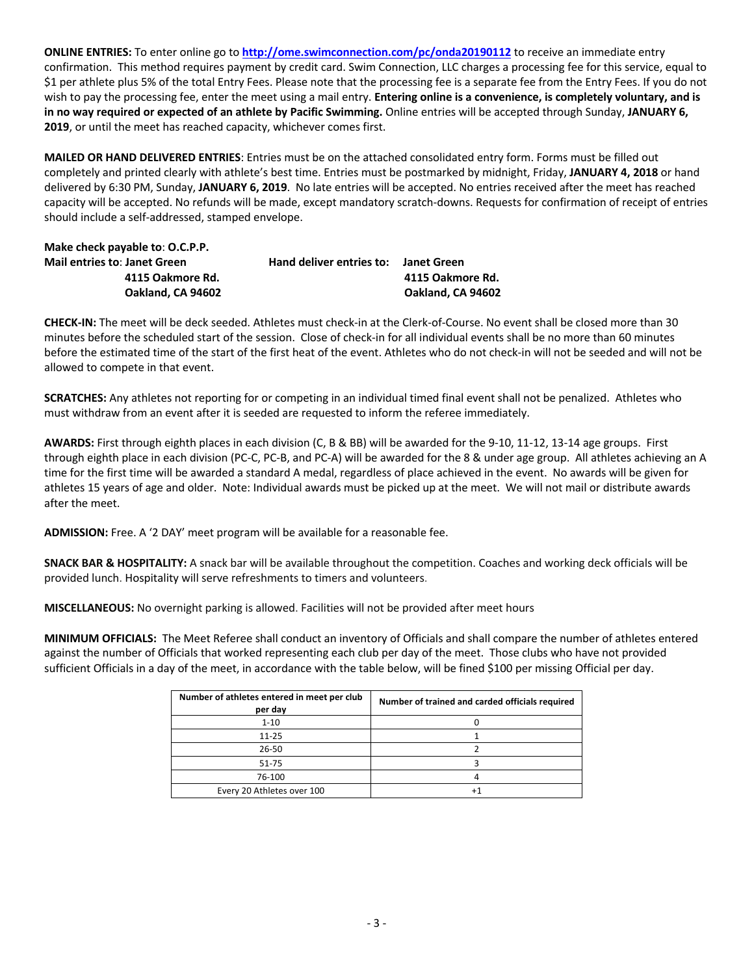**ONLINE ENTRIES:** To enter online go to **http://ome.swimconnection.com/pc/onda20190112** to receive an immediate entry confirmation. This method requires payment by credit card. Swim Connection, LLC charges a processing fee for this service, equal to \$1 per athlete plus 5% of the total Entry Fees. Please note that the processing fee is a separate fee from the Entry Fees. If you do not wish to pay the processing fee, enter the meet using a mail entry. **Entering online is a convenience, is completely voluntary, and is in no way required or expected of an athlete by Pacific Swimming.** Online entries will be accepted through Sunday, **JANUARY 6, 2019**, or until the meet has reached capacity, whichever comes first.

**MAILED OR HAND DELIVERED ENTRIES**: Entries must be on the attached consolidated entry form. Forms must be filled out completely and printed clearly with athlete's best time. Entries must be postmarked by midnight, Friday, **JANUARY 4, 2018** or hand delivered by 6:30 PM, Sunday, **JANUARY 6, 2019**. No late entries will be accepted. No entries received after the meet has reached capacity will be accepted. No refunds will be made, except mandatory scratch-downs. Requests for confirmation of receipt of entries should include a self-addressed, stamped envelope.

| Make check payable to: O.C.P.P.     |                          |                   |
|-------------------------------------|--------------------------|-------------------|
| <b>Mail entries to: Janet Green</b> | Hand deliver entries to: | Janet Green       |
| 4115 Oakmore Rd.                    |                          | 4115 Oakmore Rd.  |
| Oakland. CA 94602                   |                          | Oakland, CA 94602 |

**CHECK-IN:** The meet will be deck seeded. Athletes must check-in at the Clerk-of-Course. No event shall be closed more than 30 minutes before the scheduled start of the session. Close of check-in for all individual events shall be no more than 60 minutes before the estimated time of the start of the first heat of the event. Athletes who do not check-in will not be seeded and will not be allowed to compete in that event.

**SCRATCHES:** Any athletes not reporting for or competing in an individual timed final event shall not be penalized. Athletes who must withdraw from an event after it is seeded are requested to inform the referee immediately.

**AWARDS:** First through eighth places in each division (C, B & BB) will be awarded for the 9-10, 11-12, 13-14 age groups. First through eighth place in each division (PC-C, PC-B, and PC-A) will be awarded for the 8 & under age group. All athletes achieving an A time for the first time will be awarded a standard A medal, regardless of place achieved in the event. No awards will be given for athletes 15 years of age and older. Note: Individual awards must be picked up at the meet. We will not mail or distribute awards after the meet.

**ADMISSION:** Free. A '2 DAY' meet program will be available for a reasonable fee.

**SNACK BAR & HOSPITALITY:** A snack bar will be available throughout the competition. Coaches and working deck officials will be provided lunch. Hospitality will serve refreshments to timers and volunteers.

**MISCELLANEOUS:** No overnight parking is allowed. Facilities will not be provided after meet hours

**MINIMUM OFFICIALS:** The Meet Referee shall conduct an inventory of Officials and shall compare the number of athletes entered against the number of Officials that worked representing each club per day of the meet. Those clubs who have not provided sufficient Officials in a day of the meet, in accordance with the table below, will be fined \$100 per missing Official per day.

| Number of athletes entered in meet per club<br>per day | Number of trained and carded officials required |
|--------------------------------------------------------|-------------------------------------------------|
| $1 - 10$                                               |                                                 |
| $11 - 25$                                              |                                                 |
| $26 - 50$                                              |                                                 |
| 51-75                                                  |                                                 |
| 76-100                                                 |                                                 |
| Every 20 Athletes over 100                             |                                                 |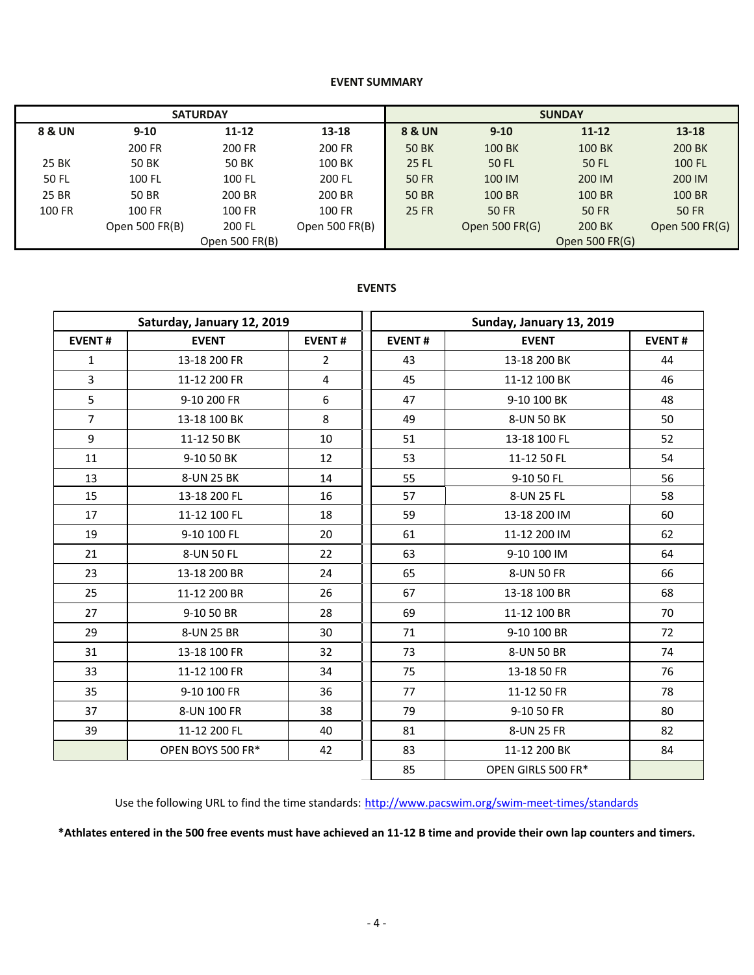#### **EVENT SUMMARY**

|        | <b>SATURDAY</b> |                |                | <b>SUNDAY</b> |                |                |                |  |  |
|--------|-----------------|----------------|----------------|---------------|----------------|----------------|----------------|--|--|
| 8 & UN | $9 - 10$        | $11 - 12$      | $13 - 18$      | 8 & UN        | $9 - 10$       | $11 - 12$      | $13 - 18$      |  |  |
|        | 200 FR          | 200 FR         | 200 FR         | <b>50 BK</b>  | 100 BK         | 100 BK         | 200 BK         |  |  |
| 25 BK  | 50 BK           | 50 BK          | 100 BK         | 25 FL         | 50 FL          | 50 FL          | 100 FL         |  |  |
| 50 FL  | 100 FL          | 100 FL         | 200 FL         | <b>50 FR</b>  | 100 IM         | 200 IM         | 200 IM         |  |  |
| 25 BR  | 50 BR           | 200 BR         | 200 BR         | 50 BR         | 100 BR         | 100 BR         | 100 BR         |  |  |
| 100 FR | 100 FR          | 100 FR         | 100 FR         | <b>25 FR</b>  | 50 FR          | <b>50 FR</b>   | <b>50 FR</b>   |  |  |
|        | Open 500 FR(B)  | 200 FL         | Open 500 FR(B) |               | Open 500 FR(G) | 200 BK         | Open 500 FR(G) |  |  |
|        |                 | Open 500 FR(B) |                |               |                | Open 500 FR(G) |                |  |  |

#### **EVENTS**

|                | Saturday, January 12, 2019 |                |               | Sunday, January 13, 2019 |               |  |  |  |
|----------------|----------------------------|----------------|---------------|--------------------------|---------------|--|--|--|
| <b>EVENT#</b>  | <b>EVENT</b>               | <b>EVENT#</b>  | <b>EVENT#</b> | <b>EVENT</b>             | <b>EVENT#</b> |  |  |  |
| 1              | 13-18 200 FR               | $\overline{2}$ | 43            | 13-18 200 BK             | 44            |  |  |  |
| $\overline{3}$ | 11-12 200 FR               | 4              | 45            | 11-12 100 BK             | 46            |  |  |  |
| 5              | 9-10 200 FR                | 6              | 47            | 9-10 100 BK              | 48            |  |  |  |
| $\overline{7}$ | 13-18 100 BK               | 8              | 49            | 8-UN 50 BK               | 50            |  |  |  |
| 9              | 11-12 50 BK                | 10             | 51            | 13-18 100 FL             | 52            |  |  |  |
| 11             | 9-10 50 BK                 | 12             | 53            | 11-12 50 FL              | 54            |  |  |  |
| 13             | 8-UN 25 BK                 | 14             | 55            | 9-10 50 FL               | 56            |  |  |  |
| 15             | 13-18 200 FL               | 16             | 57            | 8-UN 25 FL               | 58            |  |  |  |
| 17             | 11-12 100 FL               | 18             | 59            | 13-18 200 IM             | 60            |  |  |  |
| 19             | 9-10 100 FL                | 20             | 61            | 11-12 200 IM             | 62            |  |  |  |
| 21             | 8-UN 50 FL                 | 22             | 63            | 9-10 100 IM              | 64            |  |  |  |
| 23             | 13-18 200 BR               | 24             | 65            | 8-UN 50 FR               | 66            |  |  |  |
| 25             | 11-12 200 BR               | 26             | 67            | 13-18 100 BR             | 68            |  |  |  |
| 27             | 9-10 50 BR                 | 28             | 69            | 11-12 100 BR             | 70            |  |  |  |
| 29             | 8-UN 25 BR                 | 30             | 71            | 9-10 100 BR              | 72            |  |  |  |
| 31             | 13-18 100 FR               | 32             | 73            | 8-UN 50 BR               | 74            |  |  |  |
| 33             | 11-12 100 FR               | 34             | 75            | 13-18 50 FR              | 76            |  |  |  |
| 35             | 9-10 100 FR                | 36             | 77            | 11-12 50 FR              | 78            |  |  |  |
| 37             | 8-UN 100 FR                | 38             | 79            | 9-10 50 FR               | 80            |  |  |  |
| 39             | 11-12 200 FL               | 40             | 81            | 8-UN 25 FR               | 82            |  |  |  |
|                | OPEN BOYS 500 FR*          | 42             | 83            | 11-12 200 BK             | 84            |  |  |  |
|                |                            |                | 85            | OPEN GIRLS 500 FR*       |               |  |  |  |

Use the following URL to find the time standards: http://www.pacswim.org/swim-meet-times/standards

**\*Athlates entered in the 500 free events must have achieved an 11-12 B time and provide their own lap counters and timers.**